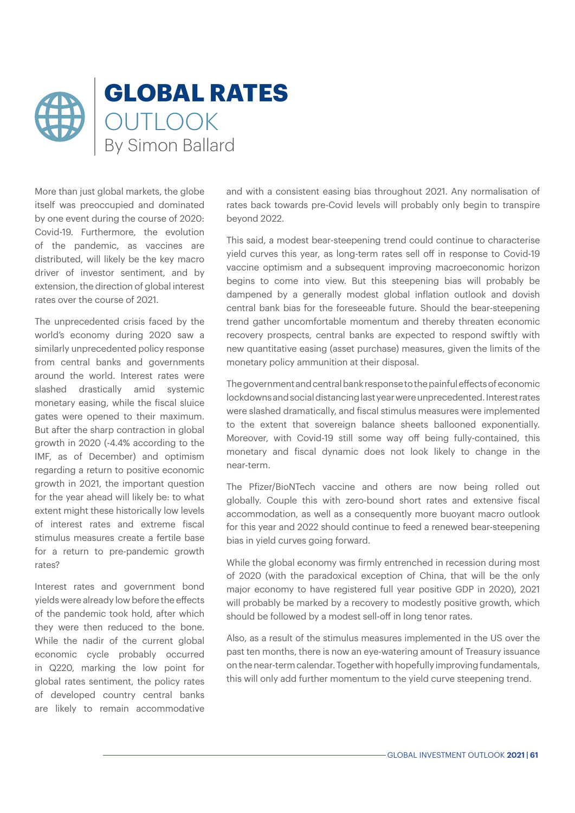

More than just global markets, the globe itself was preoccupied and dominated by one event during the course of 2020: Covid-19. Furthermore, the evolution of the pandemic, as vaccines are distributed, will likely be the key macro driver of investor sentiment, and by extension, the direction of global interest rates over the course of 2021.

The unprecedented crisis faced by the world's economy during 2020 saw a similarly unprecedented policy response from central banks and governments around the world. Interest rates were slashed drastically amid systemic monetary easing, while the fiscal sluice gates were opened to their maximum. But after the sharp contraction in global growth in 2020 (-4.4% according to the IMF, as of December) and optimism regarding a return to positive economic growth in 2021, the important question for the year ahead will likely be: to what extent might these historically low levels of interest rates and extreme fiscal stimulus measures create a fertile base for a return to pre-pandemic growth rates?

Interest rates and government bond yields were already low before the effects of the pandemic took hold, after which they were then reduced to the bone. While the nadir of the current global economic cycle probably occurred in Q220, marking the low point for global rates sentiment, the policy rates of developed country central banks are likely to remain accommodative and with a consistent easing bias throughout 2021. Any normalisation of rates back towards pre-Covid levels will probably only begin to transpire beyond 2022.

This said, a modest bear-steepening trend could continue to characterise yield curves this year, as long-term rates sell off in response to Covid-19 vaccine optimism and a subsequent improving macroeconomic horizon begins to come into view. But this steepening bias will probably be dampened by a generally modest global inflation outlook and dovish central bank bias for the foreseeable future. Should the bear-steepening trend gather uncomfortable momentum and thereby threaten economic recovery prospects, central banks are expected to respond swiftly with new quantitative easing (asset purchase) measures, given the limits of the monetary policy ammunition at their disposal.

The government and central bank response to the painful effects of economic lockdowns and social distancing last year were unprecedented. Interest rates were slashed dramatically, and fiscal stimulus measures were implemented to the extent that sovereign balance sheets ballooned exponentially. Moreover, with Covid-19 still some way off being fully-contained, this monetary and fiscal dynamic does not look likely to change in the near-term.

The Pfizer/BioNTech vaccine and others are now being rolled out globally. Couple this with zero-bound short rates and extensive fiscal accommodation, as well as a consequently more buoyant macro outlook for this year and 2022 should continue to feed a renewed bear-steepening bias in yield curves going forward.

While the global economy was firmly entrenched in recession during most of 2020 (with the paradoxical exception of China, that will be the only major economy to have registered full year positive GDP in 2020), 2021 will probably be marked by a recovery to modestly positive growth, which should be followed by a modest sell-off in long tenor rates.

Also, as a result of the stimulus measures implemented in the US over the past ten months, there is now an eye-watering amount of Treasury issuance on the near-term calendar. Together with hopefully improving fundamentals, this will only add further momentum to the yield curve steepening trend.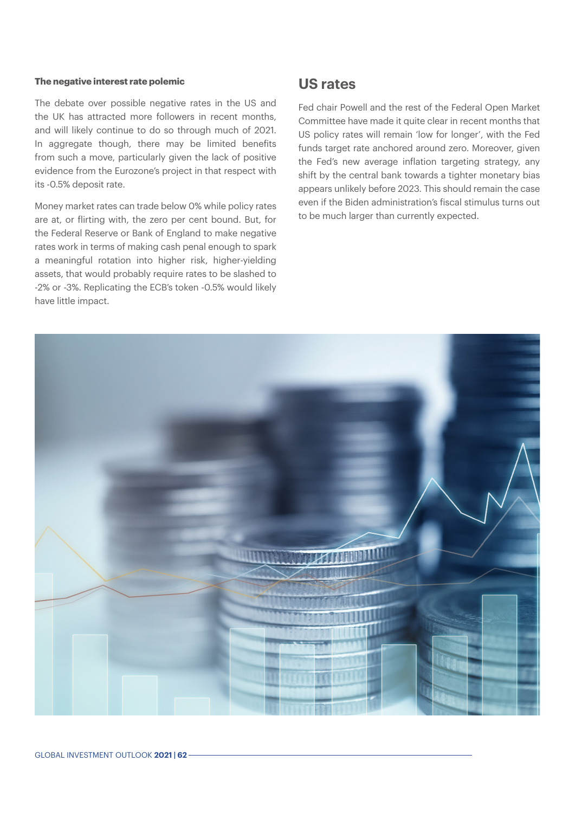#### **The negative interest rate polemic**

The debate over possible negative rates in the US and the UK has attracted more followers in recent months, and will likely continue to do so through much of 2021. In aggregate though, there may be limited benefits from such a move, particularly given the lack of positive evidence from the Eurozone's project in that respect with its -0.5% deposit rate.

Money market rates can trade below 0% while policy rates are at, or flirting with, the zero per cent bound. But, for the Federal Reserve or Bank of England to make negative rates work in terms of making cash penal enough to spark a meaningful rotation into higher risk, higher-yielding assets, that would probably require rates to be slashed to -2% or -3%. Replicating the ECB's token -0.5% would likely have little impact.

## **US rates**

Fed chair Powell and the rest of the Federal Open Market Committee have made it quite clear in recent months that US policy rates will remain 'low for longer', with the Fed funds target rate anchored around zero. Moreover, given the Fed's new average inflation targeting strategy, any shift by the central bank towards a tighter monetary bias appears unlikely before 2023. This should remain the case even if the Biden administration's fiscal stimulus turns out to be much larger than currently expected.

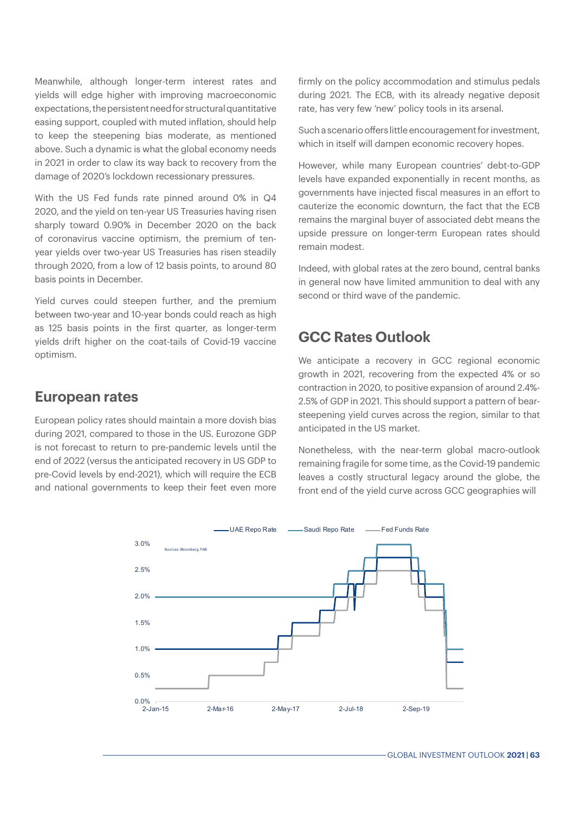Meanwhile, although longer-term interest rates and yields will edge higher with improving macroeconomic expectations, the persistent need for structural quantitative easing support, coupled with muted inflation, should help to keep the steepening bias moderate, as mentioned above. Such a dynamic is what the global economy needs in 2021 in order to claw its way back to recovery from the damage of 2020's lockdown recessionary pressures.

With the US Fed funds rate pinned around 0% in Q4 2020, and the yield on ten-year US Treasuries having risen sharply toward 0.90% in December 2020 on the back of coronavirus vaccine optimism, the premium of tenyear yields over two-year US Treasuries has risen steadily through 2020, from a low of 12 basis points, to around 80 basis points in December.

Yield curves could steepen further, and the premium between two-year and 10-year bonds could reach as high as 125 basis points in the first quarter, as longer-term yields drift higher on the coat-tails of Covid-19 vaccine optimism.

# **European rates**

European policy rates should maintain a more dovish bias during 2021, compared to those in the US. Eurozone GDP is not forecast to return to pre-pandemic levels until the end of 2022 (versus the anticipated recovery in US GDP to pre-Covid levels by end-2021), which will require the ECB and national governments to keep their feet even more firmly on the policy accommodation and stimulus pedals during 2021. The ECB, with its already negative deposit rate, has very few 'new' policy tools in its arsenal.

Such a scenario offers little encouragement for investment, which in itself will dampen economic recovery hopes.

However, while many European countries' debt-to-GDP levels have expanded exponentially in recent months, as governments have injected fiscal measures in an effort to cauterize the economic downturn, the fact that the ECB remains the marginal buyer of associated debt means the upside pressure on longer-term European rates should remain modest.

Indeed, with global rates at the zero bound, central banks in general now have limited ammunition to deal with any second or third wave of the pandemic.

# **GCC Rates Outlook**

We anticipate a recovery in GCC regional economic growth in 2021, recovering from the expected 4% or so contraction in 2020, to positive expansion of around 2.4%- 2.5% of GDP in 2021. This should support a pattern of bearsteepening yield curves across the region, similar to that anticipated in the US market.

Nonetheless, with the near-term global macro-outlook remaining fragile for some time, as the Covid-19 pandemic leaves a costly structural legacy around the globe, the front end of the yield curve across GCC geographies will